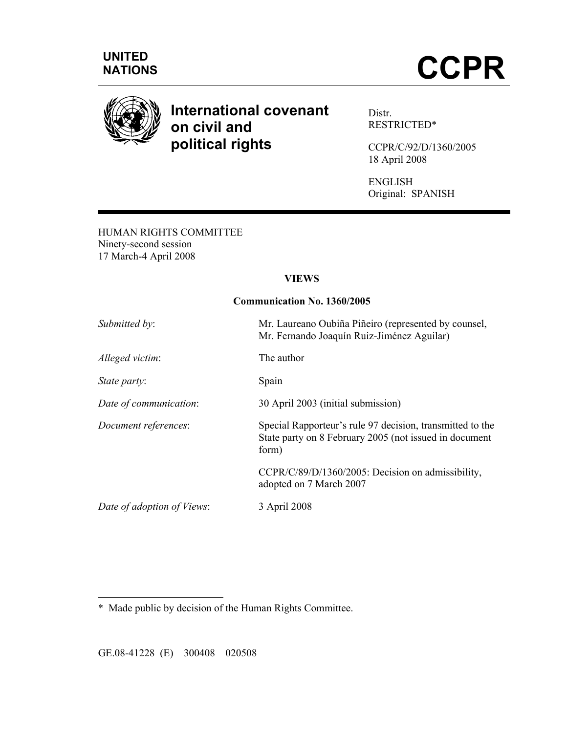

# **International covenant on civil and political rights**

Distr. RESTRICTED\*

CCPR/C/92/D/1360/2005 18 April 2008

ENGLISH Original: SPANISH

HUMAN RIGHTS COMMITTEE Ninety-second session 17 March-4 April 2008

### **VIEWS**

#### **Communication No. 1360/2005**

| Submitted by:              | Mr. Laureano Oubiña Piñeiro (represented by counsel,<br>Mr. Fernando Joaquín Ruiz-Jiménez Aguilar)                           |
|----------------------------|------------------------------------------------------------------------------------------------------------------------------|
| Alleged victim:            | The author                                                                                                                   |
| State party:               | Spain                                                                                                                        |
| Date of communication:     | 30 April 2003 (initial submission)                                                                                           |
| Document references:       | Special Rapporteur's rule 97 decision, transmitted to the<br>State party on 8 February 2005 (not issued in document<br>form) |
|                            | CCPR/C/89/D/1360/2005: Decision on admissibility,<br>adopted on 7 March 2007                                                 |
| Date of adoption of Views: | 3 April 2008                                                                                                                 |
|                            |                                                                                                                              |

\* Made public by decision of the Human Rights Committee.

GE.08-41228 (E) 300408 020508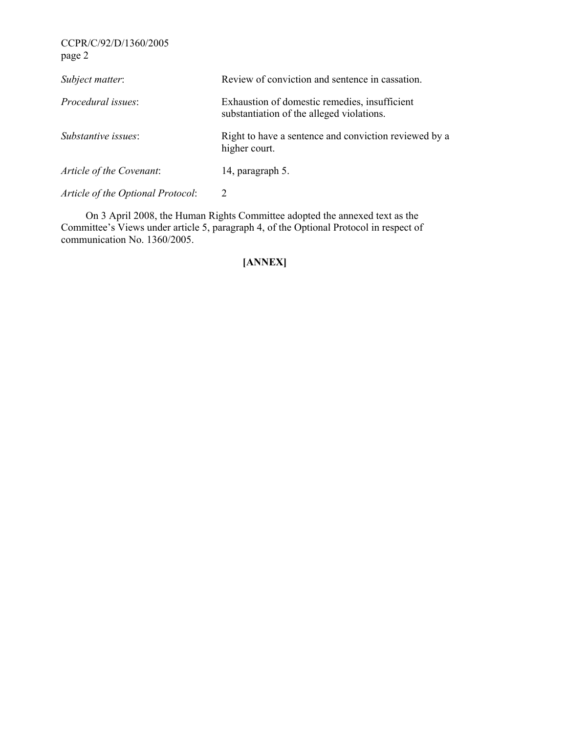CCPR/C/92/D/1360/2005 page 2

| Subject matter:                   | Review of conviction and sentence in cassation.                                            |
|-----------------------------------|--------------------------------------------------------------------------------------------|
| Procedural issues:                | Exhaustion of domestic remedies, insufficient<br>substantiation of the alleged violations. |
| Substantive issues:               | Right to have a sentence and conviction reviewed by a<br>higher court.                     |
| Article of the Covenant:          | 14, paragraph 5.                                                                           |
| Article of the Optional Protocol: | 2                                                                                          |

 On 3 April 2008, the Human Rights Committee adopted the annexed text as the Committee's Views under article 5, paragraph 4, of the Optional Protocol in respect of communication No. 1360/2005.

## **[ANNEX]**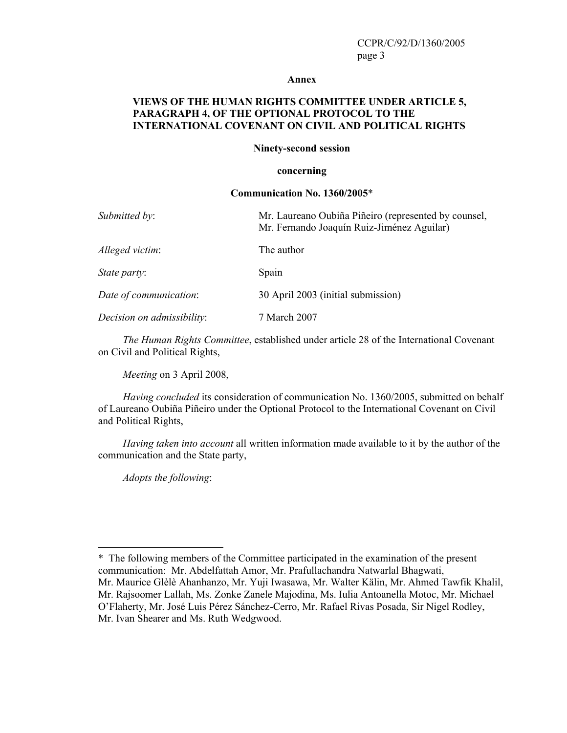#### **Annex**

#### **VIEWS OF THE HUMAN RIGHTS COMMITTEE UNDER ARTICLE 5, PARAGRAPH 4, OF THE OPTIONAL PROTOCOL TO THE INTERNATIONAL COVENANT ON CIVIL AND POLITICAL RIGHTS**

#### **Ninety-second session**

#### **concerning**

#### **Communication No. 1360/2005**\*

| Submitted by:              | Mr. Laureano Oubiña Piñeiro (represented by counsel,<br>Mr. Fernando Joaquín Ruiz-Jiménez Aguilar) |
|----------------------------|----------------------------------------------------------------------------------------------------|
| Alleged victim:            | The author                                                                                         |
| State party:               | Spain                                                                                              |
| Date of communication:     | 30 April 2003 (initial submission)                                                                 |
| Decision on admissibility: | 7 March 2007                                                                                       |

*The Human Rights Committee*, established under article 28 of the International Covenant on Civil and Political Rights,

*Meeting* on 3 April 2008,

*Having concluded* its consideration of communication No. 1360/2005, submitted on behalf of Laureano Oubiña Piñeiro under the Optional Protocol to the International Covenant on Civil and Political Rights,

*Having taken into account* all written information made available to it by the author of the communication and the State party,

*Adopts the following*:

<sup>\*</sup> The following members of the Committee participated in the examination of the present communication: Mr. Abdelfattah Amor, Mr. Prafullachandra Natwarlal Bhagwati, Mr. Maurice Glèlè Ahanhanzo, Mr. Yuji Iwasawa, Mr. Walter Kälin, Mr. Ahmed Tawfik Khalil, Mr. Rajsoomer Lallah, Ms. Zonke Zanele Majodina, Ms. Iulia Antoanella Motoc, Mr. Michael O'Flaherty, Mr. José Luis Pérez Sánchez-Cerro, Mr. Rafael Rivas Posada, Sir Nigel Rodley, Mr. Ivan Shearer and Ms. Ruth Wedgwood.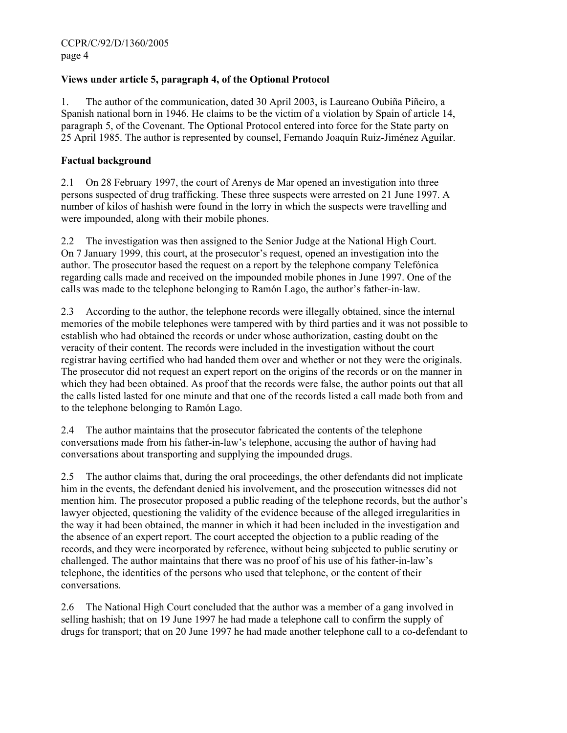## **Views under article 5, paragraph 4, of the Optional Protocol**

1. The author of the communication, dated 30 April 2003, is Laureano Oubiña Piñeiro, a Spanish national born in 1946. He claims to be the victim of a violation by Spain of article 14, paragraph 5, of the Covenant. The Optional Protocol entered into force for the State party on 25 April 1985. The author is represented by counsel, Fernando Joaquín Ruiz-Jiménez Aguilar.

### **Factual background**

2.1 On 28 February 1997, the court of Arenys de Mar opened an investigation into three persons suspected of drug trafficking. These three suspects were arrested on 21 June 1997. A number of kilos of hashish were found in the lorry in which the suspects were travelling and were impounded, along with their mobile phones.

2.2 The investigation was then assigned to the Senior Judge at the National High Court. On 7 January 1999, this court, at the prosecutor's request, opened an investigation into the author. The prosecutor based the request on a report by the telephone company Telefónica regarding calls made and received on the impounded mobile phones in June 1997. One of the calls was made to the telephone belonging to Ramón Lago, the author's father-in-law.

2.3 According to the author, the telephone records were illegally obtained, since the internal memories of the mobile telephones were tampered with by third parties and it was not possible to establish who had obtained the records or under whose authorization, casting doubt on the veracity of their content. The records were included in the investigation without the court registrar having certified who had handed them over and whether or not they were the originals. The prosecutor did not request an expert report on the origins of the records or on the manner in which they had been obtained. As proof that the records were false, the author points out that all the calls listed lasted for one minute and that one of the records listed a call made both from and to the telephone belonging to Ramón Lago.

2.4 The author maintains that the prosecutor fabricated the contents of the telephone conversations made from his father-in-law's telephone, accusing the author of having had conversations about transporting and supplying the impounded drugs.

2.5 The author claims that, during the oral proceedings, the other defendants did not implicate him in the events, the defendant denied his involvement, and the prosecution witnesses did not mention him. The prosecutor proposed a public reading of the telephone records, but the author's lawyer objected, questioning the validity of the evidence because of the alleged irregularities in the way it had been obtained, the manner in which it had been included in the investigation and the absence of an expert report. The court accepted the objection to a public reading of the records, and they were incorporated by reference, without being subjected to public scrutiny or challenged. The author maintains that there was no proof of his use of his father-in-law's telephone, the identities of the persons who used that telephone, or the content of their conversations.

2.6 The National High Court concluded that the author was a member of a gang involved in selling hashish; that on 19 June 1997 he had made a telephone call to confirm the supply of drugs for transport; that on 20 June 1997 he had made another telephone call to a co-defendant to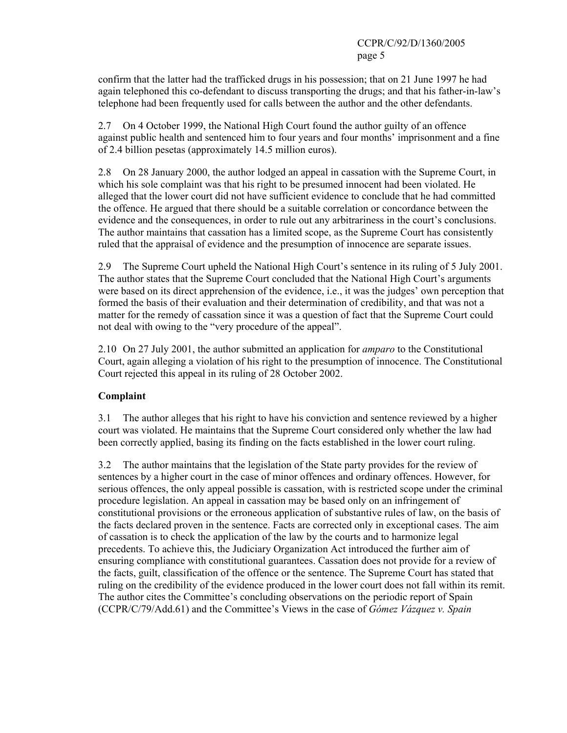confirm that the latter had the trafficked drugs in his possession; that on 21 June 1997 he had again telephoned this co-defendant to discuss transporting the drugs; and that his father-in-law's telephone had been frequently used for calls between the author and the other defendants.

2.7 On 4 October 1999, the National High Court found the author guilty of an offence against public health and sentenced him to four years and four months' imprisonment and a fine of 2.4 billion pesetas (approximately 14.5 million euros).

2.8 On 28 January 2000, the author lodged an appeal in cassation with the Supreme Court, in which his sole complaint was that his right to be presumed innocent had been violated. He alleged that the lower court did not have sufficient evidence to conclude that he had committed the offence. He argued that there should be a suitable correlation or concordance between the evidence and the consequences, in order to rule out any arbitrariness in the court's conclusions. The author maintains that cassation has a limited scope, as the Supreme Court has consistently ruled that the appraisal of evidence and the presumption of innocence are separate issues.

2.9 The Supreme Court upheld the National High Court's sentence in its ruling of 5 July 2001. The author states that the Supreme Court concluded that the National High Court's arguments were based on its direct apprehension of the evidence, i.e., it was the judges' own perception that formed the basis of their evaluation and their determination of credibility, and that was not a matter for the remedy of cassation since it was a question of fact that the Supreme Court could not deal with owing to the "very procedure of the appeal".

2.10 On 27 July 2001, the author submitted an application for *amparo* to the Constitutional Court, again alleging a violation of his right to the presumption of innocence. The Constitutional Court rejected this appeal in its ruling of 28 October 2002.

### **Complaint**

3.1 The author alleges that his right to have his conviction and sentence reviewed by a higher court was violated. He maintains that the Supreme Court considered only whether the law had been correctly applied, basing its finding on the facts established in the lower court ruling.

3.2 The author maintains that the legislation of the State party provides for the review of sentences by a higher court in the case of minor offences and ordinary offences. However, for serious offences, the only appeal possible is cassation, with is restricted scope under the criminal procedure legislation. An appeal in cassation may be based only on an infringement of constitutional provisions or the erroneous application of substantive rules of law, on the basis of the facts declared proven in the sentence. Facts are corrected only in exceptional cases. The aim of cassation is to check the application of the law by the courts and to harmonize legal precedents. To achieve this, the Judiciary Organization Act introduced the further aim of ensuring compliance with constitutional guarantees. Cassation does not provide for a review of the facts, guilt, classification of the offence or the sentence. The Supreme Court has stated that ruling on the credibility of the evidence produced in the lower court does not fall within its remit. The author cites the Committee's concluding observations on the periodic report of Spain (CCPR/C/79/Add.61) and the Committee's Views in the case of *Gómez Vázquez v. Spain*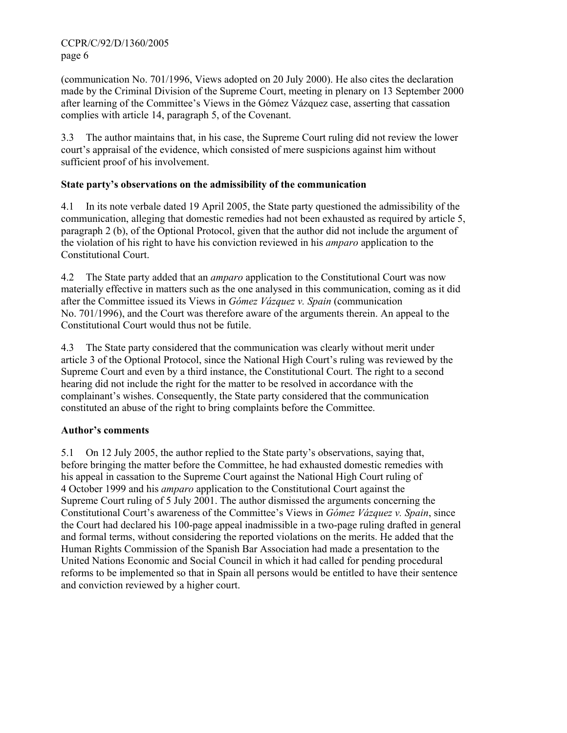(communication No. 701/1996, Views adopted on 20 July 2000). He also cites the declaration made by the Criminal Division of the Supreme Court, meeting in plenary on 13 September 2000 after learning of the Committee's Views in the Gómez Vázquez case, asserting that cassation complies with article 14, paragraph 5, of the Covenant.

3.3 The author maintains that, in his case, the Supreme Court ruling did not review the lower court's appraisal of the evidence, which consisted of mere suspicions against him without sufficient proof of his involvement.

## **State party's observations on the admissibility of the communication**

4.1 In its note verbale dated 19 April 2005, the State party questioned the admissibility of the communication, alleging that domestic remedies had not been exhausted as required by article 5, paragraph 2 (b), of the Optional Protocol, given that the author did not include the argument of the violation of his right to have his conviction reviewed in his *amparo* application to the Constitutional Court.

4.2 The State party added that an *amparo* application to the Constitutional Court was now materially effective in matters such as the one analysed in this communication, coming as it did after the Committee issued its Views in *Gómez Vázquez v. Spain* (communication No. 701/1996), and the Court was therefore aware of the arguments therein. An appeal to the Constitutional Court would thus not be futile.

4.3 The State party considered that the communication was clearly without merit under article 3 of the Optional Protocol, since the National High Court's ruling was reviewed by the Supreme Court and even by a third instance, the Constitutional Court. The right to a second hearing did not include the right for the matter to be resolved in accordance with the complainant's wishes. Consequently, the State party considered that the communication constituted an abuse of the right to bring complaints before the Committee.

## **Author's comments**

5.1 On 12 July 2005, the author replied to the State party's observations, saying that, before bringing the matter before the Committee, he had exhausted domestic remedies with his appeal in cassation to the Supreme Court against the National High Court ruling of 4 October 1999 and his *amparo* application to the Constitutional Court against the Supreme Court ruling of 5 July 2001. The author dismissed the arguments concerning the Constitutional Court's awareness of the Committee's Views in *Gómez Vázquez v. Spain*, since the Court had declared his 100-page appeal inadmissible in a two-page ruling drafted in general and formal terms, without considering the reported violations on the merits. He added that the Human Rights Commission of the Spanish Bar Association had made a presentation to the United Nations Economic and Social Council in which it had called for pending procedural reforms to be implemented so that in Spain all persons would be entitled to have their sentence and conviction reviewed by a higher court.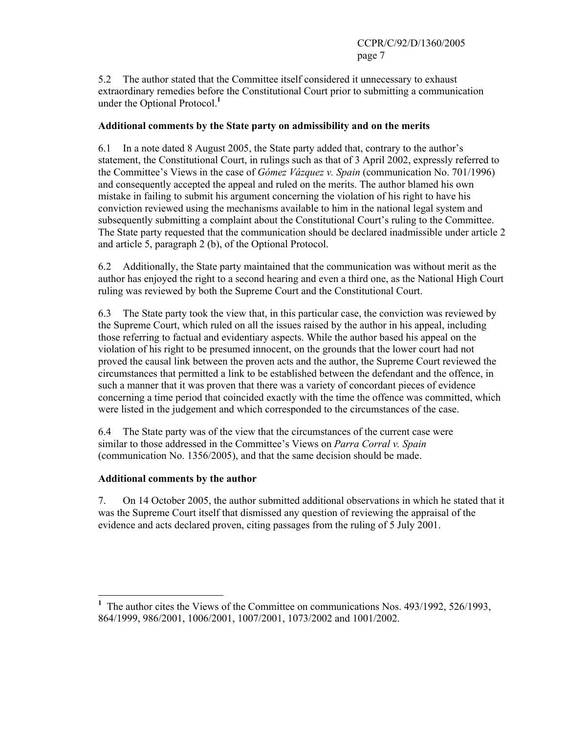5.2 The author stated that the Committee itself considered it unnecessary to exhaust extraordinary remedies before the Constitutional Court prior to submitting a communication under the Optional Protocol.**<sup>1</sup>**

### **Additional comments by the State party on admissibility and on the merits**

6.1 In a note dated 8 August 2005, the State party added that, contrary to the author's statement, the Constitutional Court, in rulings such as that of 3 April 2002, expressly referred to the Committee's Views in the case of *Gómez Vázquez v. Spain* (communication No. 701/1996) and consequently accepted the appeal and ruled on the merits. The author blamed his own mistake in failing to submit his argument concerning the violation of his right to have his conviction reviewed using the mechanisms available to him in the national legal system and subsequently submitting a complaint about the Constitutional Court's ruling to the Committee. The State party requested that the communication should be declared inadmissible under article 2 and article 5, paragraph 2 (b), of the Optional Protocol.

6.2 Additionally, the State party maintained that the communication was without merit as the author has enjoyed the right to a second hearing and even a third one, as the National High Court ruling was reviewed by both the Supreme Court and the Constitutional Court.

6.3 The State party took the view that, in this particular case, the conviction was reviewed by the Supreme Court, which ruled on all the issues raised by the author in his appeal, including those referring to factual and evidentiary aspects. While the author based his appeal on the violation of his right to be presumed innocent, on the grounds that the lower court had not proved the causal link between the proven acts and the author, the Supreme Court reviewed the circumstances that permitted a link to be established between the defendant and the offence, in such a manner that it was proven that there was a variety of concordant pieces of evidence concerning a time period that coincided exactly with the time the offence was committed, which were listed in the judgement and which corresponded to the circumstances of the case.

6.4 The State party was of the view that the circumstances of the current case were similar to those addressed in the Committee's Views on *Parra Corral v. Spain* (communication No. 1356/2005), and that the same decision should be made.

### **Additional comments by the author**

 $\overline{a}$ 

7. On 14 October 2005, the author submitted additional observations in which he stated that it was the Supreme Court itself that dismissed any question of reviewing the appraisal of the evidence and acts declared proven, citing passages from the ruling of 5 July 2001.

**<sup>1</sup>** The author cites the Views of the Committee on communications Nos. 493/1992, 526/1993, 864/1999, 986/2001, 1006/2001, 1007/2001, 1073/2002 and 1001/2002.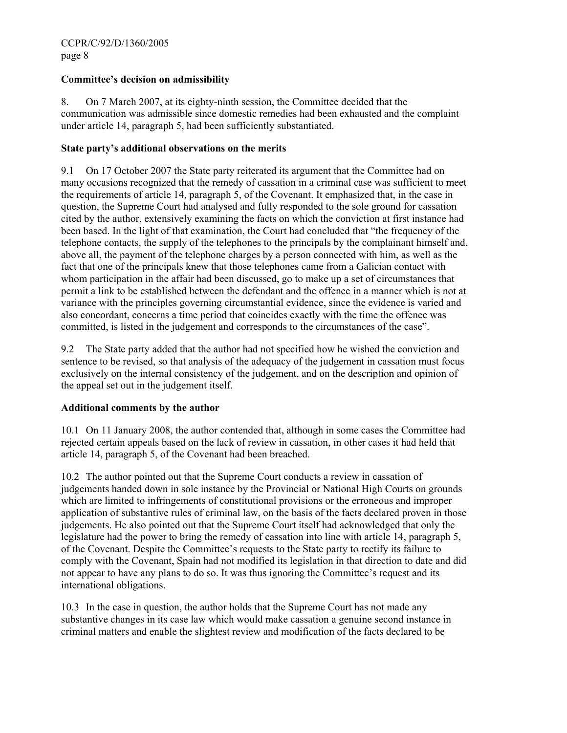### **Committee's decision on admissibility**

8. On 7 March 2007, at its eighty-ninth session, the Committee decided that the communication was admissible since domestic remedies had been exhausted and the complaint under article 14, paragraph 5, had been sufficiently substantiated.

#### **State party's additional observations on the merits**

9.1 On 17 October 2007 the State party reiterated its argument that the Committee had on many occasions recognized that the remedy of cassation in a criminal case was sufficient to meet the requirements of article 14, paragraph 5, of the Covenant. It emphasized that, in the case in question, the Supreme Court had analysed and fully responded to the sole ground for cassation cited by the author, extensively examining the facts on which the conviction at first instance had been based. In the light of that examination, the Court had concluded that "the frequency of the telephone contacts, the supply of the telephones to the principals by the complainant himself and, above all, the payment of the telephone charges by a person connected with him, as well as the fact that one of the principals knew that those telephones came from a Galician contact with whom participation in the affair had been discussed, go to make up a set of circumstances that permit a link to be established between the defendant and the offence in a manner which is not at variance with the principles governing circumstantial evidence, since the evidence is varied and also concordant, concerns a time period that coincides exactly with the time the offence was committed, is listed in the judgement and corresponds to the circumstances of the case".

9.2 The State party added that the author had not specified how he wished the conviction and sentence to be revised, so that analysis of the adequacy of the judgement in cassation must focus exclusively on the internal consistency of the judgement, and on the description and opinion of the appeal set out in the judgement itself.

### **Additional comments by the author**

10.1 On 11 January 2008, the author contended that, although in some cases the Committee had rejected certain appeals based on the lack of review in cassation, in other cases it had held that article 14, paragraph 5, of the Covenant had been breached.

10.2 The author pointed out that the Supreme Court conducts a review in cassation of judgements handed down in sole instance by the Provincial or National High Courts on grounds which are limited to infringements of constitutional provisions or the erroneous and improper application of substantive rules of criminal law, on the basis of the facts declared proven in those judgements. He also pointed out that the Supreme Court itself had acknowledged that only the legislature had the power to bring the remedy of cassation into line with article 14, paragraph 5, of the Covenant. Despite the Committee's requests to the State party to rectify its failure to comply with the Covenant, Spain had not modified its legislation in that direction to date and did not appear to have any plans to do so. It was thus ignoring the Committee's request and its international obligations.

10.3 In the case in question, the author holds that the Supreme Court has not made any substantive changes in its case law which would make cassation a genuine second instance in criminal matters and enable the slightest review and modification of the facts declared to be